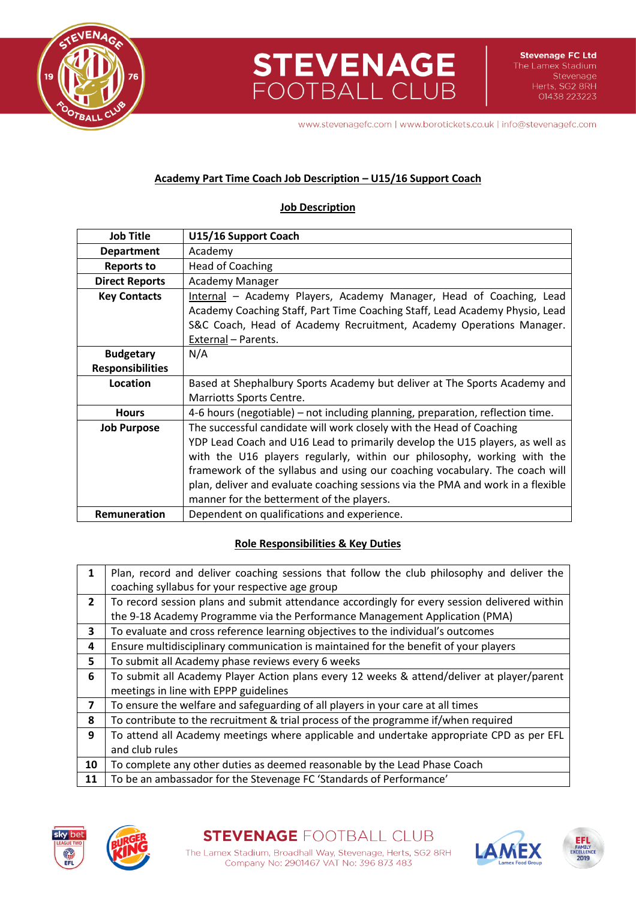

**STEVENAGE**<br>FOOTBALL CLUB

www.stevenagefc.com | www.borotickets.co.uk | info@stevenagefc.com

# **Academy Part Time Coach Job Description – U15/16 Support Coach**

### **Job Description**

| <b>Job Title</b>        | U15/16 Support Coach                                                                                                                                                                                                                             |  |  |
|-------------------------|--------------------------------------------------------------------------------------------------------------------------------------------------------------------------------------------------------------------------------------------------|--|--|
| <b>Department</b>       | Academy                                                                                                                                                                                                                                          |  |  |
| <b>Reports to</b>       | <b>Head of Coaching</b>                                                                                                                                                                                                                          |  |  |
| <b>Direct Reports</b>   | Academy Manager                                                                                                                                                                                                                                  |  |  |
| <b>Key Contacts</b>     | Internal - Academy Players, Academy Manager, Head of Coaching, Lead<br>Academy Coaching Staff, Part Time Coaching Staff, Lead Academy Physio, Lead<br>S&C Coach, Head of Academy Recruitment, Academy Operations Manager.<br>External - Parents. |  |  |
| <b>Budgetary</b>        | N/A                                                                                                                                                                                                                                              |  |  |
| <b>Responsibilities</b> |                                                                                                                                                                                                                                                  |  |  |
| Location                | Based at Shephalbury Sports Academy but deliver at The Sports Academy and                                                                                                                                                                        |  |  |
|                         | Marriotts Sports Centre.                                                                                                                                                                                                                         |  |  |
| <b>Hours</b>            | 4-6 hours (negotiable) – not including planning, preparation, reflection time.                                                                                                                                                                   |  |  |
| <b>Job Purpose</b>      | The successful candidate will work closely with the Head of Coaching                                                                                                                                                                             |  |  |
|                         | YDP Lead Coach and U16 Lead to primarily develop the U15 players, as well as                                                                                                                                                                     |  |  |
|                         | with the U16 players regularly, within our philosophy, working with the                                                                                                                                                                          |  |  |
|                         | framework of the syllabus and using our coaching vocabulary. The coach will                                                                                                                                                                      |  |  |
|                         | plan, deliver and evaluate coaching sessions via the PMA and work in a flexible                                                                                                                                                                  |  |  |
|                         | manner for the betterment of the players.                                                                                                                                                                                                        |  |  |
| <b>Remuneration</b>     | Dependent on qualifications and experience.                                                                                                                                                                                                      |  |  |

# **Role Responsibilities & Key Duties**

| 1              | Plan, record and deliver coaching sessions that follow the club philosophy and deliver the   |  |  |
|----------------|----------------------------------------------------------------------------------------------|--|--|
|                | coaching syllabus for your respective age group                                              |  |  |
| $\overline{2}$ | To record session plans and submit attendance accordingly for every session delivered within |  |  |
|                | the 9-18 Academy Programme via the Performance Management Application (PMA)                  |  |  |
| 3              | To evaluate and cross reference learning objectives to the individual's outcomes             |  |  |
| 4              | Ensure multidisciplinary communication is maintained for the benefit of your players         |  |  |
| 5              | To submit all Academy phase reviews every 6 weeks                                            |  |  |
| 6              | To submit all Academy Player Action plans every 12 weeks & attend/deliver at player/parent   |  |  |
|                | meetings in line with EPPP guidelines                                                        |  |  |
| $\overline{7}$ | To ensure the welfare and safeguarding of all players in your care at all times              |  |  |
| 8              | To contribute to the recruitment & trial process of the programme if/when required           |  |  |
| 9              | To attend all Academy meetings where applicable and undertake appropriate CPD as per EFL     |  |  |
|                | and club rules                                                                               |  |  |
| 10             | To complete any other duties as deemed reasonable by the Lead Phase Coach                    |  |  |
| 11             | To be an ambassador for the Stevenage FC 'Standards of Performance'                          |  |  |